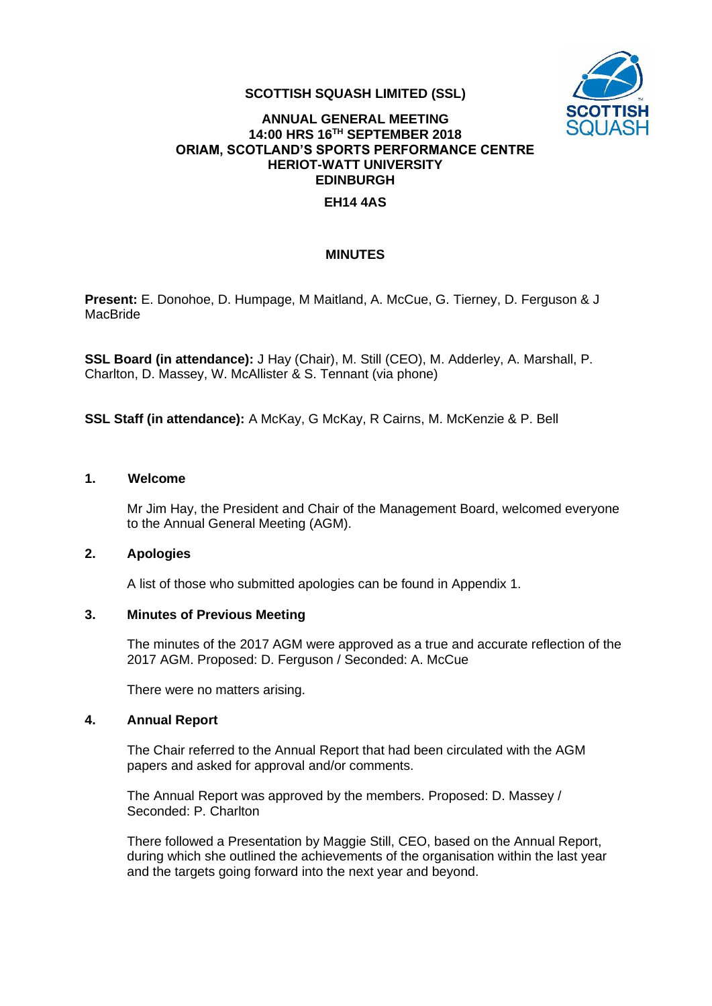

### **SCOTTISH SQUASH LIMITED (SSL)**

## **ANNUAL GENERAL MEETING 14:00 HRS 16TH SEPTEMBER 2018 ORIAM, SCOTLAND'S SPORTS PERFORMANCE CENTRE HERIOT-WATT UNIVERSITY EDINBURGH**

### **EH14 4AS**

### **MINUTES**

**Present:** E. Donohoe, D. Humpage, M Maitland, A. McCue, G. Tierney, D. Ferguson & J MacBride

**SSL Board (in attendance):** J Hay (Chair), M. Still (CEO), M. Adderley, A. Marshall, P. Charlton, D. Massey, W. McAllister & S. Tennant (via phone)

**SSL Staff (in attendance):** A McKay, G McKay, R Cairns, M. McKenzie & P. Bell

#### **1. Welcome**

Mr Jim Hay, the President and Chair of the Management Board, welcomed everyone to the Annual General Meeting (AGM).

#### **2. Apologies**

A list of those who submitted apologies can be found in Appendix 1.

#### **3. Minutes of Previous Meeting**

The minutes of the 2017 AGM were approved as a true and accurate reflection of the 2017 AGM. Proposed: D. Ferguson / Seconded: A. McCue

There were no matters arising.

#### **4. Annual Report**

The Chair referred to the Annual Report that had been circulated with the AGM papers and asked for approval and/or comments.

The Annual Report was approved by the members. Proposed: D. Massey / Seconded: P. Charlton

There followed a Presentation by Maggie Still, CEO, based on the Annual Report, during which she outlined the achievements of the organisation within the last year and the targets going forward into the next year and beyond.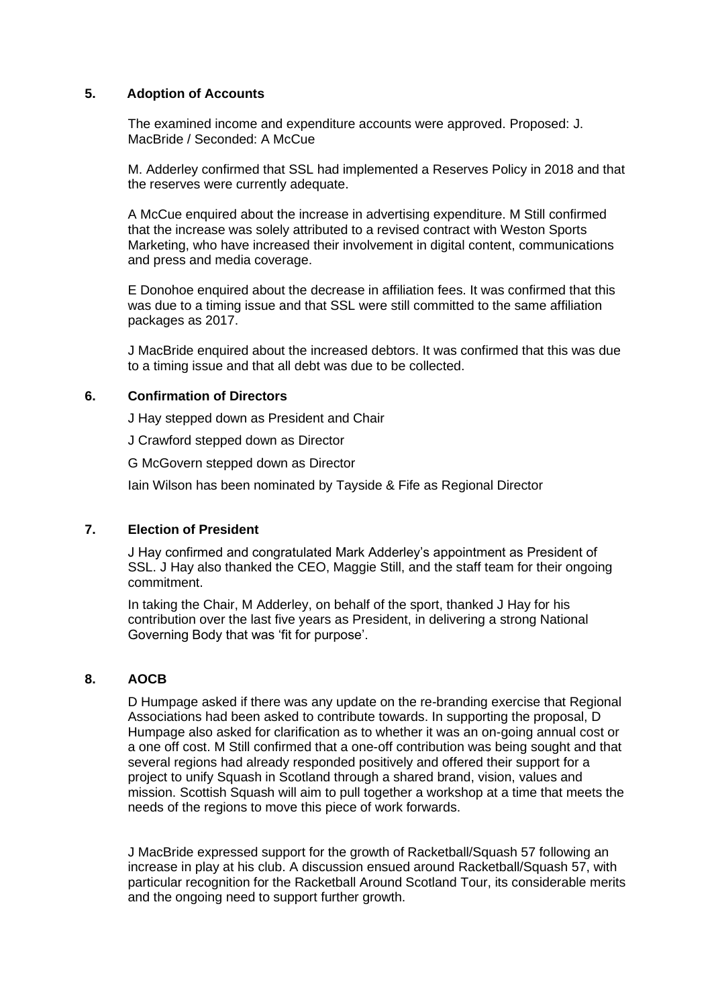### **5. Adoption of Accounts**

The examined income and expenditure accounts were approved. Proposed: J. MacBride / Seconded: A McCue

M. Adderley confirmed that SSL had implemented a Reserves Policy in 2018 and that the reserves were currently adequate.

A McCue enquired about the increase in advertising expenditure. M Still confirmed that the increase was solely attributed to a revised contract with Weston Sports Marketing, who have increased their involvement in digital content, communications and press and media coverage.

E Donohoe enquired about the decrease in affiliation fees. It was confirmed that this was due to a timing issue and that SSL were still committed to the same affiliation packages as 2017.

J MacBride enquired about the increased debtors. It was confirmed that this was due to a timing issue and that all debt was due to be collected.

#### **6. Confirmation of Directors**

J Hay stepped down as President and Chair

J Crawford stepped down as Director

G McGovern stepped down as Director

Iain Wilson has been nominated by Tayside & Fife as Regional Director

## **7. Election of President**

J Hay confirmed and congratulated Mark Adderley's appointment as President of SSL. J Hay also thanked the CEO, Maggie Still, and the staff team for their ongoing commitment.

In taking the Chair, M Adderley, on behalf of the sport, thanked J Hay for his contribution over the last five years as President, in delivering a strong National Governing Body that was 'fit for purpose'.

### **8. AOCB**

D Humpage asked if there was any update on the re-branding exercise that Regional Associations had been asked to contribute towards. In supporting the proposal, D Humpage also asked for clarification as to whether it was an on-going annual cost or a one off cost. M Still confirmed that a one-off contribution was being sought and that several regions had already responded positively and offered their support for a project to unify Squash in Scotland through a shared brand, vision, values and mission. Scottish Squash will aim to pull together a workshop at a time that meets the needs of the regions to move this piece of work forwards.

J MacBride expressed support for the growth of Racketball/Squash 57 following an increase in play at his club. A discussion ensued around Racketball/Squash 57, with particular recognition for the Racketball Around Scotland Tour, its considerable merits and the ongoing need to support further growth.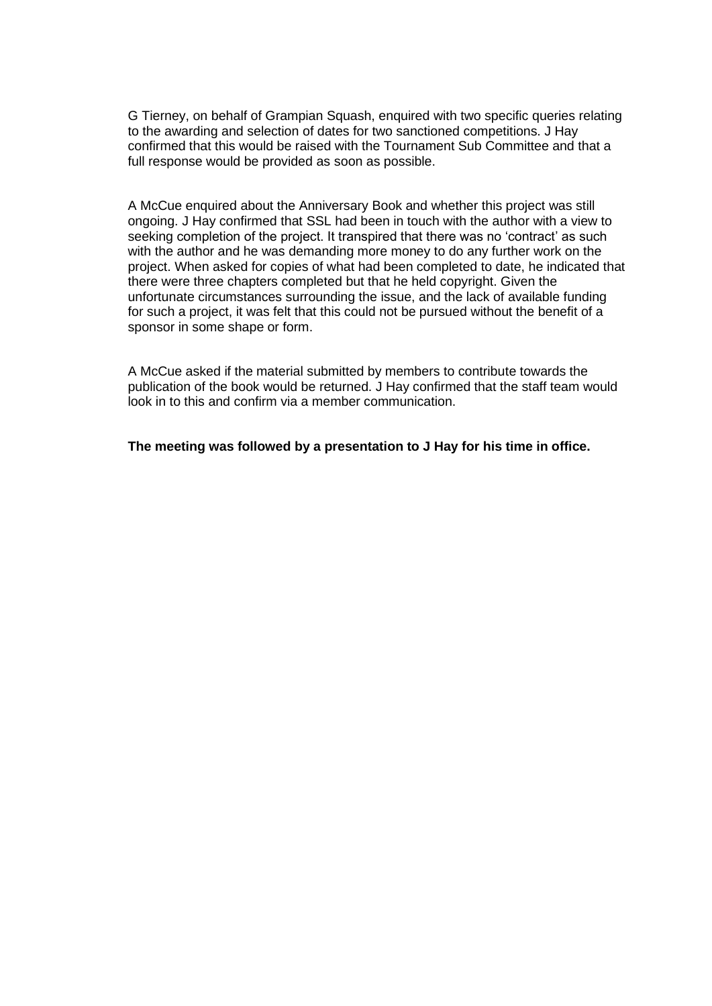G Tierney, on behalf of Grampian Squash, enquired with two specific queries relating to the awarding and selection of dates for two sanctioned competitions. J Hay confirmed that this would be raised with the Tournament Sub Committee and that a full response would be provided as soon as possible.

A McCue enquired about the Anniversary Book and whether this project was still ongoing. J Hay confirmed that SSL had been in touch with the author with a view to seeking completion of the project. It transpired that there was no 'contract' as such with the author and he was demanding more money to do any further work on the project. When asked for copies of what had been completed to date, he indicated that there were three chapters completed but that he held copyright. Given the unfortunate circumstances surrounding the issue, and the lack of available funding for such a project, it was felt that this could not be pursued without the benefit of a sponsor in some shape or form.

A McCue asked if the material submitted by members to contribute towards the publication of the book would be returned. J Hay confirmed that the staff team would look in to this and confirm via a member communication.

**The meeting was followed by a presentation to J Hay for his time in office.**